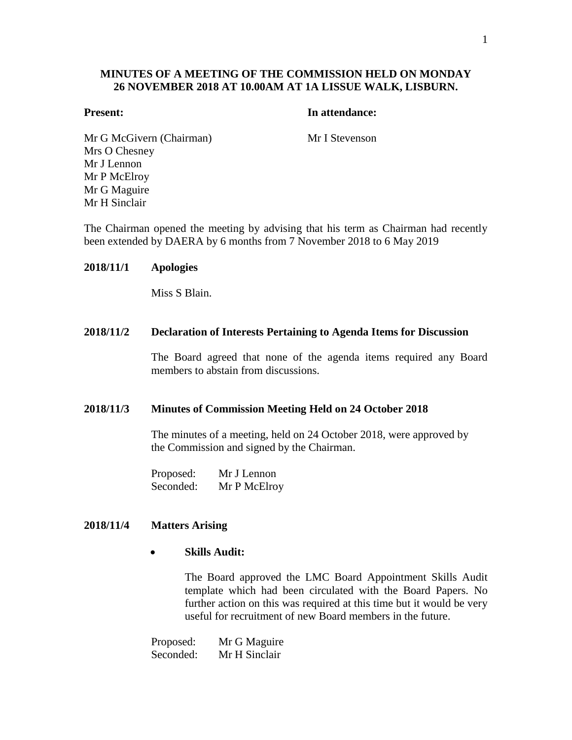# **MINUTES OF A MEETING OF THE COMMISSION HELD ON MONDAY 26 NOVEMBER 2018 AT 10.00AM AT 1A LISSUE WALK, LISBURN.**

## **Present: In attendance:**

Mr G McGivern (Chairman) Mr I Stevenson Mrs O Chesney Mr J Lennon Mr P McElroy Mr G Maguire Mr H Sinclair

The Chairman opened the meeting by advising that his term as Chairman had recently been extended by DAERA by 6 months from 7 November 2018 to 6 May 2019

## **2018/11/1 Apologies**

Miss S Blain.

## **2018/11/2 Declaration of Interests Pertaining to Agenda Items for Discussion**

The Board agreed that none of the agenda items required any Board members to abstain from discussions.

#### **2018/11/3 Minutes of Commission Meeting Held on 24 October 2018**

The minutes of a meeting, held on 24 October 2018, were approved by the Commission and signed by the Chairman.

Proposed: Mr J Lennon Seconded: Mr P McElroy

## **2018/11/4 Matters Arising**

## **Skills Audit:**

The Board approved the LMC Board Appointment Skills Audit template which had been circulated with the Board Papers. No further action on this was required at this time but it would be very useful for recruitment of new Board members in the future.

Proposed: Mr G Maguire Seconded: Mr H Sinclair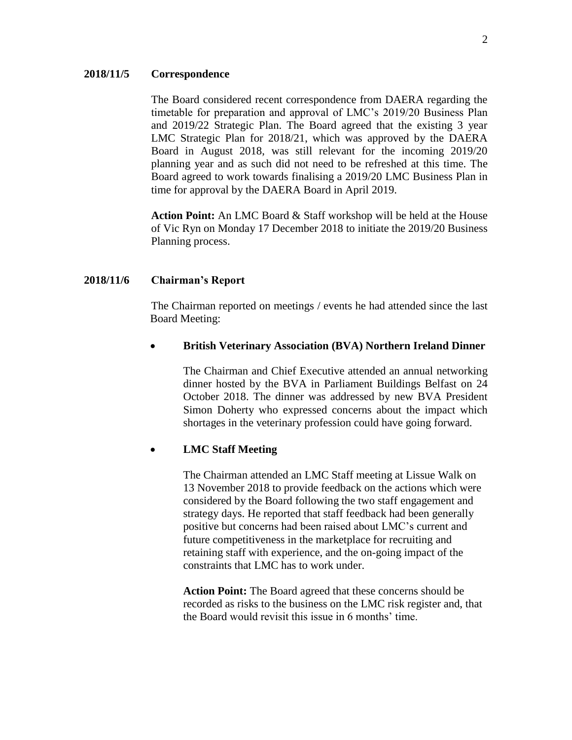#### **2018/11/5 Correspondence**

The Board considered recent correspondence from DAERA regarding the timetable for preparation and approval of LMC's 2019/20 Business Plan and 2019/22 Strategic Plan. The Board agreed that the existing 3 year LMC Strategic Plan for 2018/21, which was approved by the DAERA Board in August 2018, was still relevant for the incoming 2019/20 planning year and as such did not need to be refreshed at this time. The Board agreed to work towards finalising a 2019/20 LMC Business Plan in time for approval by the DAERA Board in April 2019.

**Action Point:** An LMC Board & Staff workshop will be held at the House of Vic Ryn on Monday 17 December 2018 to initiate the 2019/20 Business Planning process.

#### **2018/11/6 Chairman's Report**

The Chairman reported on meetings / events he had attended since the last Board Meeting:

#### **British Veterinary Association (BVA) Northern Ireland Dinner**

The Chairman and Chief Executive attended an annual networking dinner hosted by the BVA in Parliament Buildings Belfast on 24 October 2018. The dinner was addressed by new BVA President Simon Doherty who expressed concerns about the impact which shortages in the veterinary profession could have going forward.

## **LMC Staff Meeting**

The Chairman attended an LMC Staff meeting at Lissue Walk on 13 November 2018 to provide feedback on the actions which were considered by the Board following the two staff engagement and strategy days. He reported that staff feedback had been generally positive but concerns had been raised about LMC's current and future competitiveness in the marketplace for recruiting and retaining staff with experience, and the on-going impact of the constraints that LMC has to work under.

**Action Point:** The Board agreed that these concerns should be recorded as risks to the business on the LMC risk register and, that the Board would revisit this issue in 6 months' time.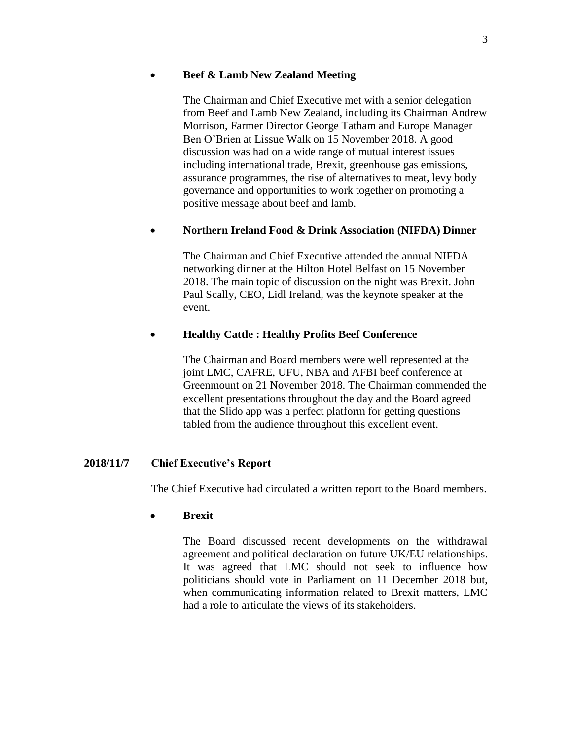## **Beef & Lamb New Zealand Meeting**

The Chairman and Chief Executive met with a senior delegation from Beef and Lamb New Zealand, including its Chairman Andrew Morrison, Farmer Director George Tatham and Europe Manager Ben O'Brien at Lissue Walk on 15 November 2018. A good discussion was had on a wide range of mutual interest issues including international trade, Brexit, greenhouse gas emissions, assurance programmes, the rise of alternatives to meat, levy body governance and opportunities to work together on promoting a positive message about beef and lamb.

# **Northern Ireland Food & Drink Association (NIFDA) Dinner**

The Chairman and Chief Executive attended the annual NIFDA networking dinner at the Hilton Hotel Belfast on 15 November 2018. The main topic of discussion on the night was Brexit. John Paul Scally, CEO, Lidl Ireland, was the keynote speaker at the event.

# **Healthy Cattle : Healthy Profits Beef Conference**

The Chairman and Board members were well represented at the joint LMC, CAFRE, UFU, NBA and AFBI beef conference at Greenmount on 21 November 2018. The Chairman commended the excellent presentations throughout the day and the Board agreed that the Slido app was a perfect platform for getting questions tabled from the audience throughout this excellent event.

## **2018/11/7 Chief Executive's Report**

The Chief Executive had circulated a written report to the Board members.

## **Brexit**

The Board discussed recent developments on the withdrawal agreement and political declaration on future UK/EU relationships. It was agreed that LMC should not seek to influence how politicians should vote in Parliament on 11 December 2018 but, when communicating information related to Brexit matters, LMC had a role to articulate the views of its stakeholders.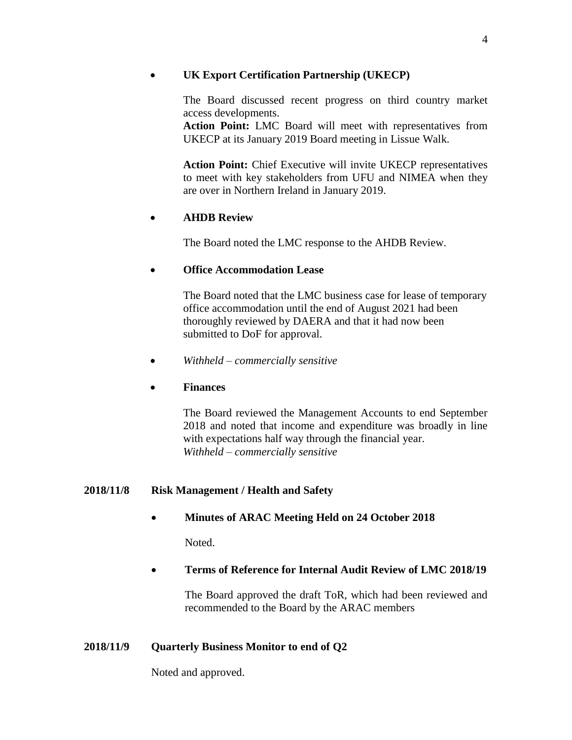# **UK Export Certification Partnership (UKECP)**

The Board discussed recent progress on third country market access developments.

**Action Point:** LMC Board will meet with representatives from UKECP at its January 2019 Board meeting in Lissue Walk.

**Action Point:** Chief Executive will invite UKECP representatives to meet with key stakeholders from UFU and NIMEA when they are over in Northern Ireland in January 2019.

# **AHDB Review**

The Board noted the LMC response to the AHDB Review.

# **Office Accommodation Lease**

The Board noted that the LMC business case for lease of temporary office accommodation until the end of August 2021 had been thoroughly reviewed by DAERA and that it had now been submitted to DoF for approval.

*Withheld – commercially sensitive*

# **Finances**

The Board reviewed the Management Accounts to end September 2018 and noted that income and expenditure was broadly in line with expectations half way through the financial year. *Withheld – commercially sensitive*

# **2018/11/8 Risk Management / Health and Safety**

# **Minutes of ARAC Meeting Held on 24 October 2018**

Noted.

# **Terms of Reference for Internal Audit Review of LMC 2018/19**

The Board approved the draft ToR, which had been reviewed and recommended to the Board by the ARAC members

# **2018/11/9 Quarterly Business Monitor to end of Q2**

Noted and approved.